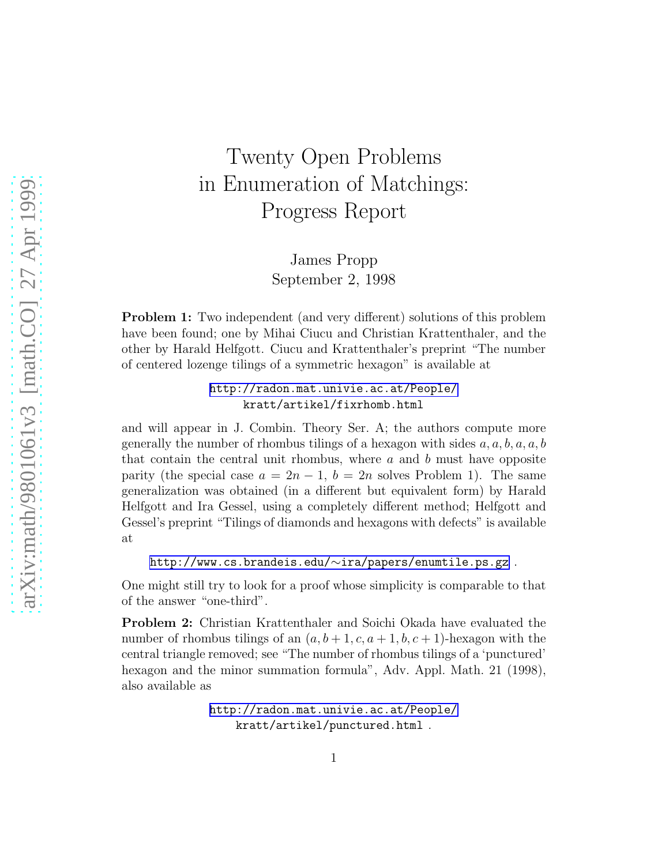## Twenty Open Problems in Enumeration of Matchings: Progress Report

James Propp September 2, 1998

Problem 1: Two independent (and very different) solutions of this problem have been found; one by Mihai Ciucu and Christian Krattenthaler, and the other by Harald Helfgott. Ciucu and Krattenthaler's preprint "The number of centered lozenge tilings of a symmetric hexagon" is available at

> <http://radon.mat.univie.ac.at/People/> kratt/artikel/fixrhomb.html

and will appear in J. Combin. Theory Ser. A; the authors compute more generally the number of rhombus tilings of a hexagon with sides  $a, a, b, a, a, b$ that contain the central unit rhombus, where  $a$  and  $b$  must have opposite parity (the special case  $a = 2n - 1$ ,  $b = 2n$  solves Problem 1). The same generalization was obtained (in a different but equivalent form) by Harald Helfgott and Ira Gessel, using a completely different method; Helfgott and Gessel's preprint "Tilings of diamonds and hexagons with defects" is available at

[http://www.cs.brandeis.edu/](http://www.cs.brandeis.edu/~ira/papers/enumtile.ps.gz)∼ira/papers/enumtile.ps.gz .

One might still try to look for a proof whose simplicity is comparable to that of the answer "one-third".

Problem 2: Christian Krattenthaler and Soichi Okada have evaluated the number of rhombus tilings of an  $(a, b+1, c, a+1, b, c+1)$ -hexagon with the central triangle removed; see "The number of rhombus tilings of a 'punctured' hexagon and the minor summation formula", Adv. Appl. Math. 21 (1998), also available as

> <http://radon.mat.univie.ac.at/People/> kratt/artikel/punctured.html .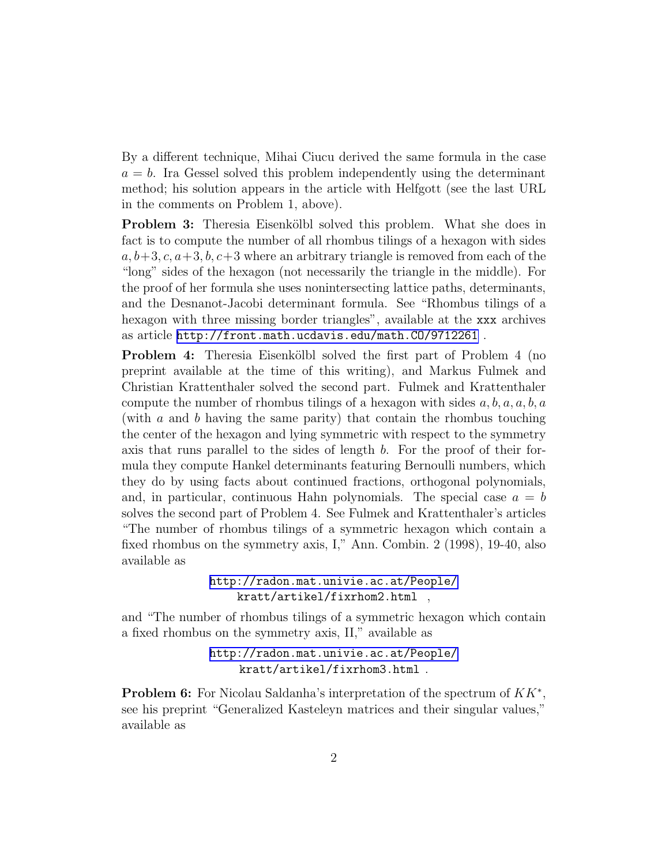By a different technique, Mihai Ciucu derived the same formula in the case  $a = b$ . Ira Gessel solved this problem independently using the determinant method; his solution appears in the article with Helfgott (see the last URL in the comments on Problem 1, above).

Problem 3: Theresia Eisenkölbl solved this problem. What she does in fact is to compute the number of all rhombus tilings of a hexagon with sides  $a, b+3, c, a+3, b, c+3$  where an arbitrary triangle is removed from each of the "long" sides of the hexagon (not necessarily the triangle in the middle). For the proof of her formula she uses nonintersecting lattice paths, determinants, and the Desnanot-Jacobi determinant formula. See "Rhombus tilings of a hexagon with three missing border triangles", available at the xxx archives as article <http://front.math.ucdavis.edu/math.CO/9712261> .

**Problem 4:** Theresia Eisenkölbl solved the first part of Problem 4 (no preprint available at the time of this writing), and Markus Fulmek and Christian Krattenthaler solved the second part. Fulmek and Krattenthaler compute the number of rhombus tilings of a hexagon with sides  $a, b, a, a, b, a$ (with  $a$  and  $b$  having the same parity) that contain the rhombus touching the center of the hexagon and lying symmetric with respect to the symmetry axis that runs parallel to the sides of length b. For the proof of their formula they compute Hankel determinants featuring Bernoulli numbers, which they do by using facts about continued fractions, orthogonal polynomials, and, in particular, continuous Hahn polynomials. The special case  $a = b$ solves the second part of Problem 4. See Fulmek and Krattenthaler's articles "The number of rhombus tilings of a symmetric hexagon which contain a fixed rhombus on the symmetry axis, I," Ann. Combin. 2 (1998), 19-40, also available as

> <http://radon.mat.univie.ac.at/People/> kratt/artikel/fixrhom2.html ,

and "The number of rhombus tilings of a symmetric hexagon which contain a fixed rhombus on the symmetry axis, II," available as

> <http://radon.mat.univie.ac.at/People/> kratt/artikel/fixrhom3.html .

**Problem 6:** For Nicolau Saldanha's interpretation of the spectrum of  $KK^*$ , see his preprint "Generalized Kasteleyn matrices and their singular values," available as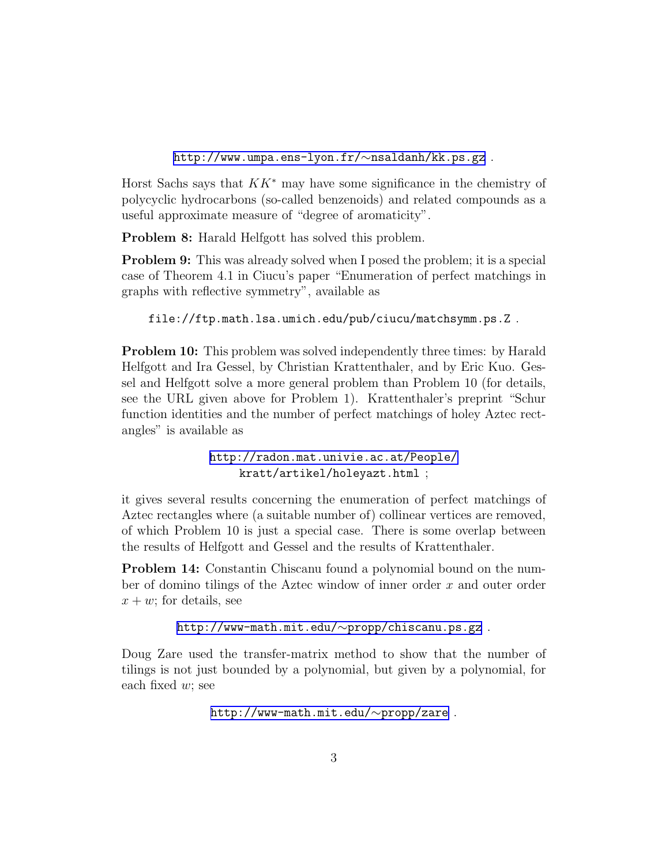[http://www.umpa.ens-lyon.fr/](http://www.umpa.ens-lyon.fr/~nsaldanh/kk.ps.gz)∼nsaldanh/kk.ps.gz .

Horst Sachs says that  $KK^*$  may have some significance in the chemistry of polycyclic hydrocarbons (so-called benzenoids) and related compounds as a useful approximate measure of "degree of aromaticity".

Problem 8: Harald Helfgott has solved this problem.

Problem 9: This was already solved when I posed the problem; it is a special case of Theorem 4.1 in Ciucu's paper "Enumeration of perfect matchings in graphs with reflective symmetry", available as

file://ftp.math.lsa.umich.edu/pub/ciucu/matchsymm.ps.Z .

Problem 10: This problem was solved independently three times: by Harald Helfgott and Ira Gessel, by Christian Krattenthaler, and by Eric Kuo. Gessel and Helfgott solve a more general problem than Problem 10 (for details, see the URL given above for Problem 1). Krattenthaler's preprint "Schur function identities and the number of perfect matchings of holey Aztec rectangles" is available as

> <http://radon.mat.univie.ac.at/People/> kratt/artikel/holeyazt.html ;

it gives several results concerning the enumeration of perfect matchings of Aztec rectangles where (a suitable number of) collinear vertices are removed, of which Problem 10 is just a special case. There is some overlap between the results of Helfgott and Gessel and the results of Krattenthaler.

Problem 14: Constantin Chiscanu found a polynomial bound on the number of domino tilings of the Aztec window of inner order  $x$  and outer order  $x + w$ ; for details, see

[http://www-math.mit.edu/](http://www-math.mit.edu/~propp/chiscanu.ps.gz)∼propp/chiscanu.ps.gz .

Doug Zare used the transfer-matrix method to show that the number of tilings is not just bounded by a polynomial, but given by a polynomial, for each fixed  $w$ ; see

[http://www-math.mit.edu/](http://www-math.mit.edu/~propp/zare)∼propp/zare .